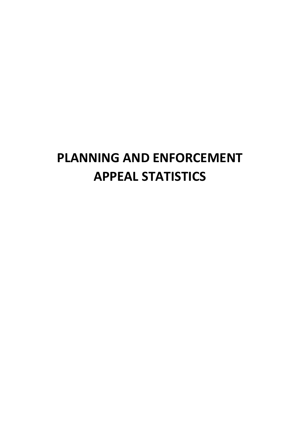## PLANNING AND ENFORCEMENT APPEAL STATISTICS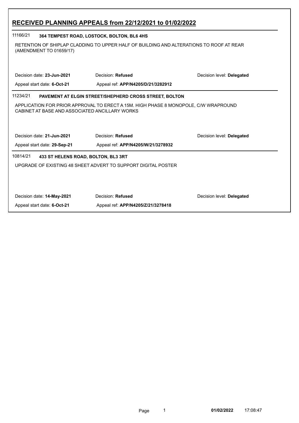| RECEIVED PLANNING APPEALS from 22/12/2021 to 01/02/2022    |                                                                                                      |                           |  |  |
|------------------------------------------------------------|------------------------------------------------------------------------------------------------------|---------------------------|--|--|
| 11166/21<br>364 TEMPEST ROAD, LOSTOCK, BOLTON, BL6 4HS     |                                                                                                      |                           |  |  |
| (AMENDMENT TO 01659/17)                                    | RETENTION OF SHIPLAP CLADDING TO UPPER HALF OF BUILDING AND ALTERATIONS TO ROOF AT REAR              |                           |  |  |
| Decision date: 23-Jun-2021<br>Appeal start date: 6-Oct-21  | Decision: Refused<br>Appeal ref: APP/N4205/D/21/3282912                                              | Decision level: Delegated |  |  |
| CABINET AT BASE AND ASSOCIATED ANCILLARY WORKS             |                                                                                                      |                           |  |  |
| Decision date: 21-Jun-2021<br>Appeal start date: 29-Sep-21 | Decision: Refused<br>Appeal ref: APP/N4205/W/21/3278932                                              | Decision level: Delegated |  |  |
| 10814/21                                                   | 433 ST HELENS ROAD, BOLTON, BL3 3RT<br>UPGRADE OF EXISTING 48 SHEET ADVERT TO SUPPORT DIGITAL POSTER |                           |  |  |
|                                                            |                                                                                                      |                           |  |  |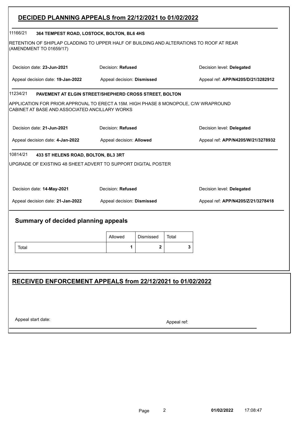|                                                                 | DECIDED PLANNING APPEALS from 22/12/2021 to 01/02/2022                                  |                                                                 |
|-----------------------------------------------------------------|-----------------------------------------------------------------------------------------|-----------------------------------------------------------------|
| 11166/21<br>364 TEMPEST ROAD, LOSTOCK, BOLTON, BL6 4HS          |                                                                                         |                                                                 |
| (AMENDMENT TO 01659/17)                                         | RETENTION OF SHIPLAP CLADDING TO UPPER HALF OF BUILDING AND ALTERATIONS TO ROOF AT REAR |                                                                 |
| Decision date: 23-Jun-2021                                      | Decision: Refused                                                                       | Decision level: Delegated                                       |
| Appeal decision date: 19-Jan-2022                               | Appeal decision: Dismissed                                                              | Appeal ref: APP/N4205/D/21/3282912                              |
| 11234/21                                                        | PAVEMENT AT ELGIN STREET/SHEPHERD CROSS STREET, BOLTON                                  |                                                                 |
| CABINET AT BASE AND ASSOCIATED ANCILLARY WORKS                  | APPLICATION FOR PRIOR APPROVAL TO ERECT A 15M. HIGH PHASE 8 MONOPOLE, C/W WRAPROUND     |                                                                 |
| Decision date: 21-Jun-2021                                      | Decision: Refused                                                                       | Decision level: Delegated                                       |
| Appeal decision date: 4-Jan-2022                                | Appeal decision: Allowed                                                                | Appeal ref: APP/N4205/W/21/3278932                              |
| Decision date: 14-May-2021<br>Appeal decision date: 21-Jan-2022 | Decision: Refused<br>Appeal decision: Dismissed                                         | Decision level: Delegated<br>Appeal ref: APP/N4205/Z/21/3278418 |
| Summary of decided planning appeals                             | Allowed<br>Dismissed<br>Total                                                           |                                                                 |
| Total                                                           | 1<br>2                                                                                  | 3                                                               |
|                                                                 | RECEIVED ENFORCEMENT APPEALS from 22/12/2021 to 01/02/2022                              |                                                                 |
| Appeal start date:                                              |                                                                                         |                                                                 |

I